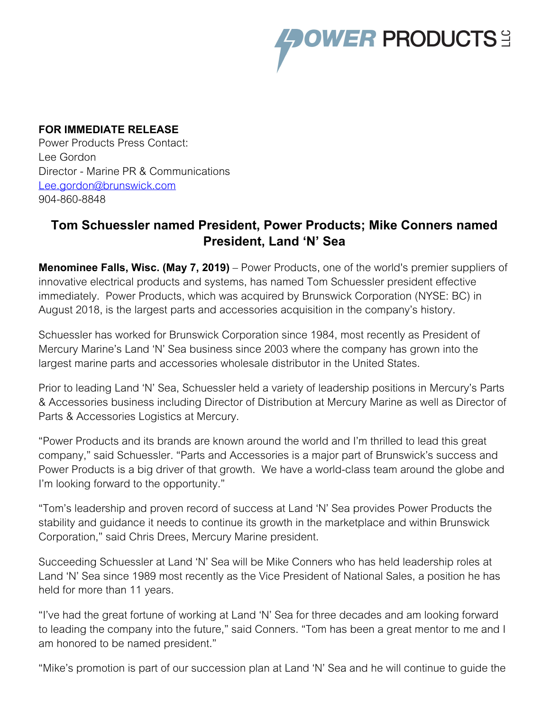

## **FOR IMMEDIATE RELEASE**

Power Products Press Contact: Lee Gordon Director - Marine PR & Communications [Lee.gordon@brunswick.com](mailto:Lee.gordon@mercmarine.com) 904-860-8848

## **Tom Schuessler named President, Power Products; Mike Conners named President, Land 'N' Sea**

**Menominee Falls, Wisc. (May 7, 2019)** – Power Products, one of the world's premier suppliers of innovative electrical products and systems, has named Tom Schuessler president effective immediately. Power Products, which was acquired by Brunswick Corporation (NYSE: BC) in August 2018, is the largest parts and accessories acquisition in the company's history.

Schuessler has worked for Brunswick Corporation since 1984, most recently as President of Mercury Marine's Land 'N' Sea business since 2003 where the company has grown into the largest marine parts and accessories wholesale distributor in the United States.

Prior to leading Land 'N' Sea, Schuessler held a variety of leadership positions in Mercury's Parts & Accessories business including Director of Distribution at Mercury Marine as well as Director of Parts & Accessories Logistics at Mercury.

"Power Products and its brands are known around the world and I'm thrilled to lead this great company," said Schuessler. "Parts and Accessories is a major part of Brunswick's success and Power Products is a big driver of that growth. We have a world-class team around the globe and I'm looking forward to the opportunity."

"Tom's leadership and proven record of success at Land 'N' Sea provides Power Products the stability and guidance it needs to continue its growth in the marketplace and within Brunswick Corporation," said Chris Drees, Mercury Marine president.

Succeeding Schuessler at Land 'N' Sea will be Mike Conners who has held leadership roles at Land 'N' Sea since 1989 most recently as the Vice President of National Sales, a position he has held for more than 11 years.

"I've had the great fortune of working at Land 'N' Sea for three decades and am looking forward to leading the company into the future," said Conners. "Tom has been a great mentor to me and I am honored to be named president."

"Mike's promotion is part of our succession plan at Land 'N' Sea and he will continue to guide the